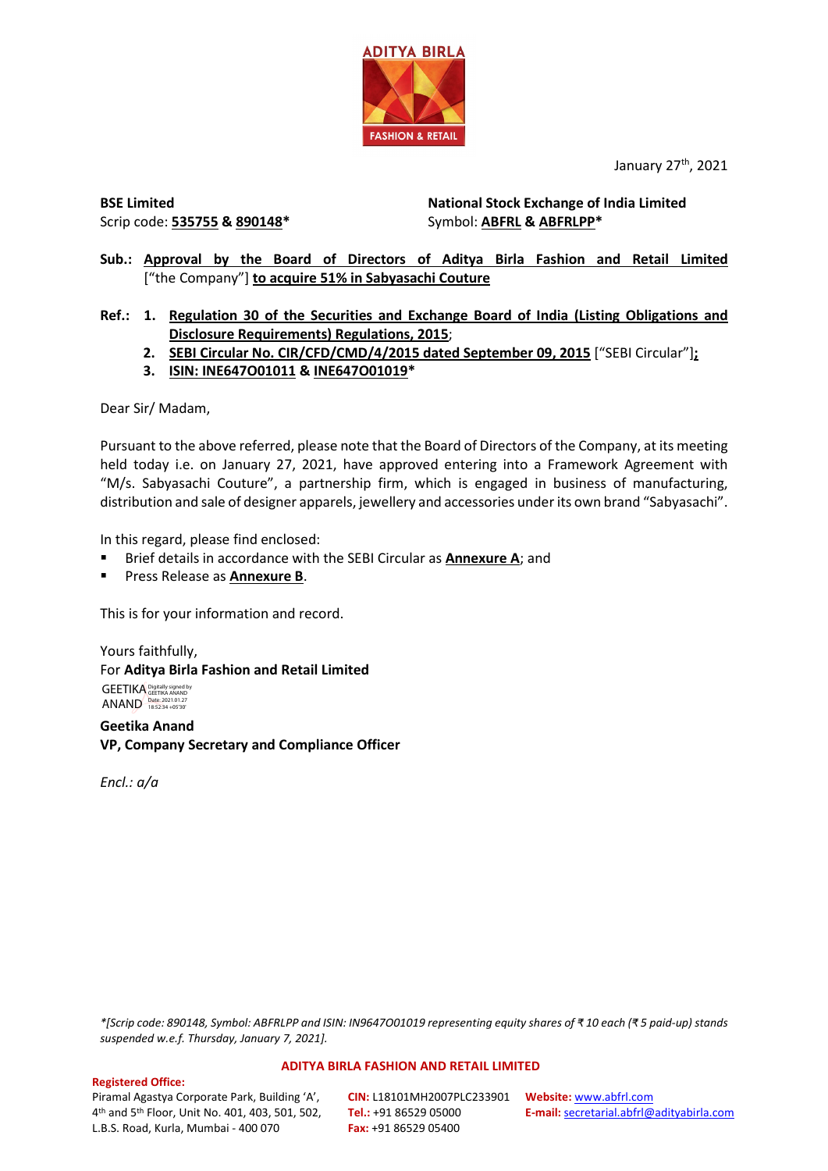

January 27<sup>th</sup>, 2021

**BSE Limited** Scrip code: **535755 & 890148\*** **National Stock Exchange of India Limited**  Symbol: **ABFRL & ABFRLPP\***

**Sub.: Approval by the Board of Directors of Aditya Birla Fashion and Retail Limited** ["the Company"] **to acquire 51% in Sabyasachi Couture**

**Ref.: 1. Regulation 30 of the Securities and Exchange Board of India (Listing Obligations and Disclosure Requirements) Regulations, 2015**;

- **2. SEBI Circular No. CIR/CFD/CMD/4/2015 dated September 09, 2015** ["SEBI Circular"]**;**
- **3. ISIN: INE647O01011 & INE647O01019\***

Dear Sir/ Madam,

Pursuant to the above referred, please note that the Board of Directors of the Company, at its meeting held today i.e. on January 27, 2021, have approved entering into a Framework Agreement with "M/s. Sabyasachi Couture", a partnership firm, which is engaged in business of manufacturing, distribution and sale of designer apparels, jewellery and accessories under its own brand "Sabyasachi".

In this regard, please find enclosed:

- Brief details in accordance with the SEBI Circular as **Annexure A**; and
- Press Release as **Annexure B**.

This is for your information and record.

Yours faithfully, For **Aditya Birla Fashion and Retail Limited** GEETIKA Digitally signed by ANAND Date: 2021.01.27

**Geetika Anand VP, Company Secretary and Compliance Officer** 

*Encl.: a/a* 

*\*[Scrip code: 890148, Symbol: ABFRLPP and ISIN: IN9647O01019 representing equity shares of ₹ 10 each (₹ 5 paid-up) stands suspended w.e.f. Thursday, January 7, 2021].*

#### **ADITYA BIRLA FASHION AND RETAIL LIMITED**

### **Registered Office:**

Piramal Agastya Corporate Park, Building 'A', 4th and 5th Floor, Unit No. 401, 403, 501, 502, L.B.S. Road, Kurla, Mumbai - 400 070

**CIN:** L18101MH2007PLC233901 **Website:** [www.abfrl.com](http://www.abfrl.com/) **Tel.:** +91 86529 05000 **Fax:** +91 86529 05400

**E-mail:** [secretarial.abfrl@adityabirla.com](mailto:secretarial.abfrl@adityabirla.com)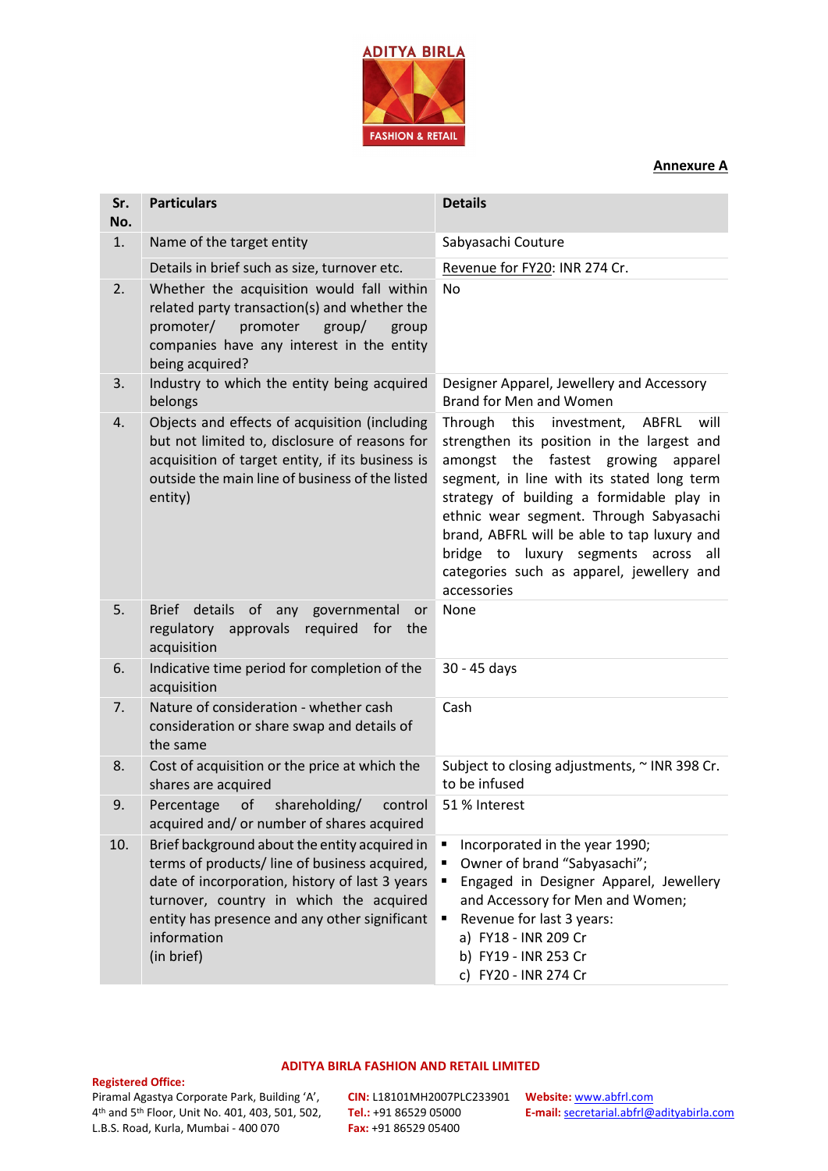

### **Annexure A**

| Sr.<br>No. | <b>Particulars</b>                                                                                                                                                                                                                                                        | <b>Details</b>                                                                                                                                                                                                                                                                                                                                                                                                                |
|------------|---------------------------------------------------------------------------------------------------------------------------------------------------------------------------------------------------------------------------------------------------------------------------|-------------------------------------------------------------------------------------------------------------------------------------------------------------------------------------------------------------------------------------------------------------------------------------------------------------------------------------------------------------------------------------------------------------------------------|
| 1.         | Name of the target entity                                                                                                                                                                                                                                                 | Sabyasachi Couture                                                                                                                                                                                                                                                                                                                                                                                                            |
|            | Details in brief such as size, turnover etc.                                                                                                                                                                                                                              | Revenue for FY20: INR 274 Cr.                                                                                                                                                                                                                                                                                                                                                                                                 |
| 2.         | Whether the acquisition would fall within<br>related party transaction(s) and whether the<br>promoter/<br>promoter<br>group/<br>group<br>companies have any interest in the entity<br>being acquired?                                                                     | <b>No</b>                                                                                                                                                                                                                                                                                                                                                                                                                     |
| 3.         | Industry to which the entity being acquired<br>belongs                                                                                                                                                                                                                    | Designer Apparel, Jewellery and Accessory<br>Brand for Men and Women                                                                                                                                                                                                                                                                                                                                                          |
| 4.         | Objects and effects of acquisition (including<br>but not limited to, disclosure of reasons for<br>acquisition of target entity, if its business is<br>outside the main line of business of the listed<br>entity)                                                          | Through<br>this<br>investment,<br>ABFRL<br>will<br>strengthen its position in the largest and<br>amongst the fastest growing apparel<br>segment, in line with its stated long term<br>strategy of building a formidable play in<br>ethnic wear segment. Through Sabyasachi<br>brand, ABFRL will be able to tap luxury and<br>bridge to luxury segments across all<br>categories such as apparel, jewellery and<br>accessories |
| 5.         | of<br><b>Brief</b><br>details<br>any governmental<br>or<br>regulatory approvals required for the<br>acquisition                                                                                                                                                           | None                                                                                                                                                                                                                                                                                                                                                                                                                          |
| 6.         | Indicative time period for completion of the<br>acquisition                                                                                                                                                                                                               | 30 - 45 days                                                                                                                                                                                                                                                                                                                                                                                                                  |
| 7.         | Nature of consideration - whether cash<br>consideration or share swap and details of<br>the same                                                                                                                                                                          | Cash                                                                                                                                                                                                                                                                                                                                                                                                                          |
| 8.         | Cost of acquisition or the price at which the<br>shares are acquired                                                                                                                                                                                                      | Subject to closing adjustments, ~ INR 398 Cr.<br>to be infused                                                                                                                                                                                                                                                                                                                                                                |
| 9.         | of<br>shareholding/<br>Percentage<br>control<br>acquired and/ or number of shares acquired                                                                                                                                                                                | 51 % Interest                                                                                                                                                                                                                                                                                                                                                                                                                 |
| 10.        | Brief background about the entity acquired in<br>terms of products/ line of business acquired,<br>date of incorporation, history of last 3 years<br>turnover, country in which the acquired<br>entity has presence and any other significant<br>information<br>(in brief) | Incorporated in the year 1990;<br>Owner of brand "Sabyasachi";<br>Engaged in Designer Apparel, Jewellery<br>and Accessory for Men and Women;<br>Revenue for last 3 years:<br>a) FY18 - INR 209 Cr<br>b) FY19 - INR 253 Cr<br>c) FY20 - INR 274 Cr                                                                                                                                                                             |

### **Registered Office:**

### Piramal Agastya Corporate Park, Building 'A', 4th and 5th Floor, Unit No. 401, 403, 501, 502, L.B.S. Road, Kurla, Mumbai - 400 070

**ADITYA BIRLA FASHION AND RETAIL LIMITED**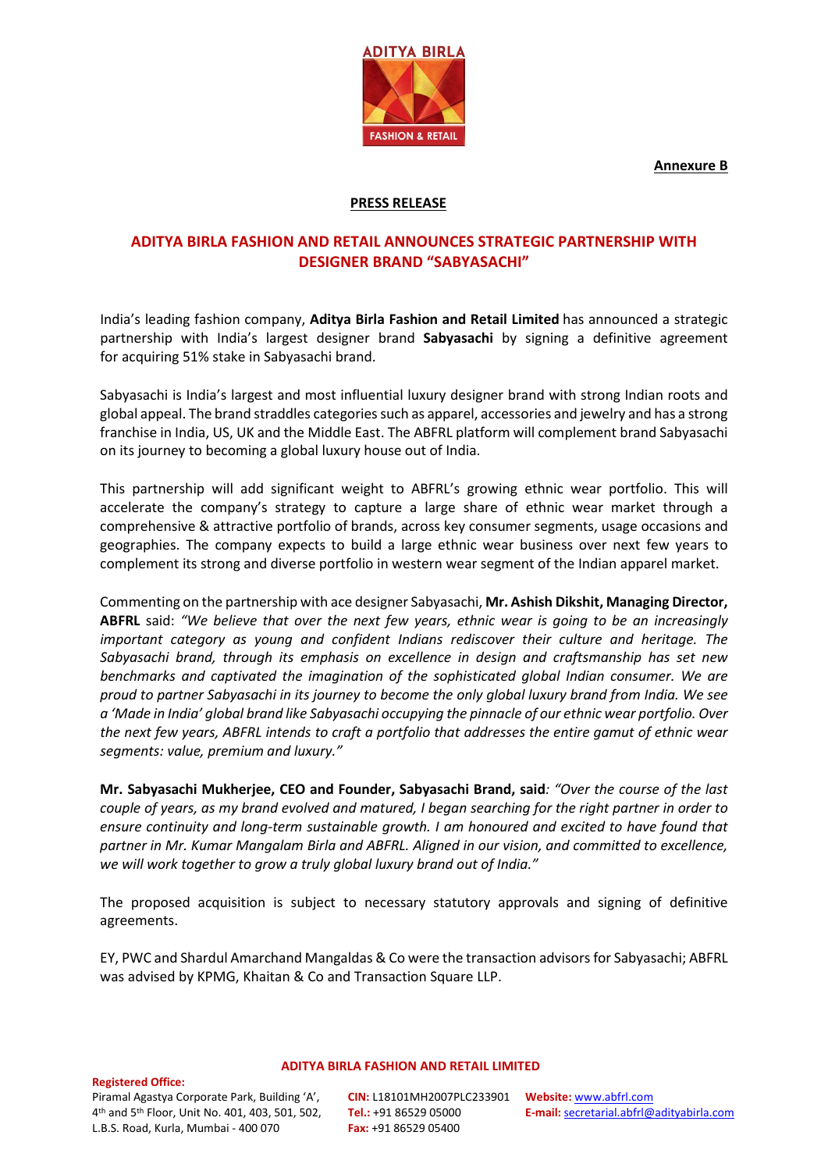**Annexure B**



### **PRESS RELEASE**

### **ADITYA BIRLA FASHION AND RETAIL ANNOUNCES STRATEGIC PARTNERSHIP WITH DESIGNER BRAND "SABYASACHI"**

India's leading fashion company, **Aditya Birla Fashion and Retail Limited** has announced a strategic partnership with India's largest designer brand **Sabyasachi** by signing a definitive agreement for acquiring 51% stake in Sabyasachi brand.

Sabyasachi is India's largest and most influential luxury designer brand with strong Indian roots and global appeal. The brand straddles categories such as apparel, accessories and jewelry and has a strong franchise in India, US, UK and the Middle East. The ABFRL platform will complement brand Sabyasachi on its journey to becoming a global luxury house out of India.

This partnership will add significant weight to ABFRL's growing ethnic wear portfolio. This will accelerate the company's strategy to capture a large share of ethnic wear market through a comprehensive & attractive portfolio of brands, across key consumer segments, usage occasions and geographies. The company expects to build a large ethnic wear business over next few years to complement its strong and diverse portfolio in western wear segment of the Indian apparel market.

Commenting on the partnership with ace designer Sabyasachi, **Mr. Ashish Dikshit, Managing Director, ABFRL** said: *"We believe that over the next few years, ethnic wear is going to be an increasingly important category as young and confident Indians rediscover their culture and heritage. The Sabyasachi brand, through its emphasis on excellence in design and craftsmanship has set new benchmarks and captivated the imagination of the sophisticated global Indian consumer. We are proud to partner Sabyasachi in its journey to become the only global luxury brand from India. We see a 'Made in India' global brand like Sabyasachi occupying the pinnacle of our ethnic wear portfolio. Over the next few years, ABFRL intends to craft a portfolio that addresses the entire gamut of ethnic wear segments: value, premium and luxury."* 

**Mr. Sabyasachi Mukherjee, CEO and Founder, Sabyasachi Brand, said***: "Over the course of the last couple of years, as my brand evolved and matured, I began searching for the right partner in order to ensure continuity and long-term sustainable growth. I am honoured and excited to have found that partner in Mr. Kumar Mangalam Birla and ABFRL. Aligned in our vision, and committed to excellence, we will work together to grow a truly global luxury brand out of India."*

The proposed acquisition is subject to necessary statutory approvals and signing of definitive agreements.

EY, PWC and Shardul Amarchand Mangaldas & Co were the transaction advisors for Sabyasachi; ABFRL was advised by KPMG, Khaitan & Co and Transaction Square LLP.

**Registered Office:** 

# **ADITYA BIRLA FASHION AND RETAIL LIMITED**